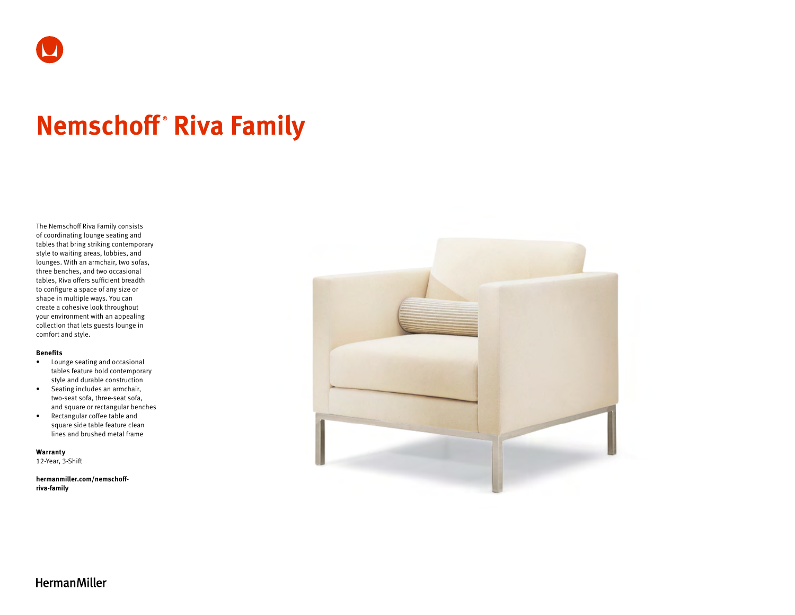

# **Nemschoff ® Riva Family**

The Nemschoff Riva Family consists of coordinating lounge seating and tables that bring striking contemporary style to waiting areas, lobbies, and lounges. With an armchair, two sofas, three benches, and two occasional tables, Riva offers sufficient breadth to configure a space of any size or shape in multiple ways. You can create a cohesive look throughout your environment with an appealing collection that lets guests lounge in comfort and style.

#### **Benefits**

- Lounge seating and occasional tables feature bold contemporary style and durable construction
- Seating includes an armchair, two-seat sofa, three-seat sofa, and square or rectangular benches
- Rectangular coffee table and square side table feature clean lines and brushed metal frame

**Warranty**  12-Year, 3-Shift

**[hermanmiller.com/nemschoff](http://hermanmiller.com/nemschoff-riva-family)[riva-family](http://hermanmiller.com/nemschoff-riva-family)**